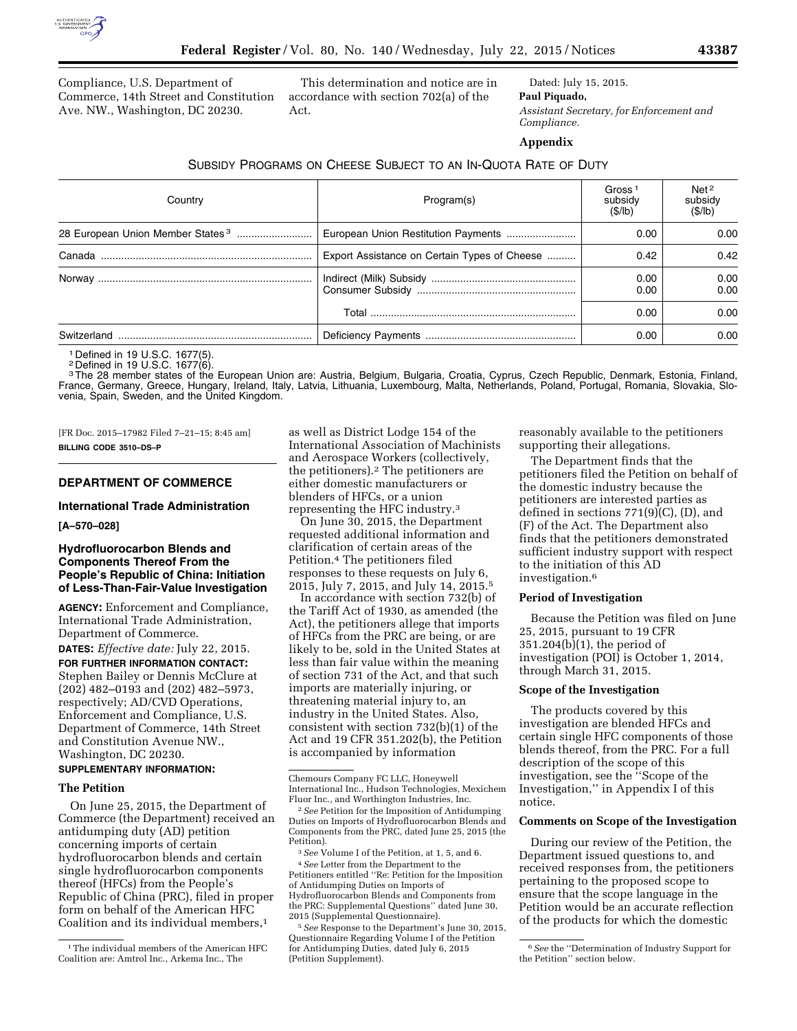

Compliance, U.S. Department of Commerce, 14th Street and Constitution Ave. NW., Washington, DC 20230.

This determination and notice are in accordance with section 702(a) of the Act.

Dated: July 15, 2015. **Paul Piquado,**  *Assistant Secretary, for Enforcement and Compliance.* 

**Appendix** 

### SUBSIDY PROGRAMS ON CHEESE SUBJECT TO AN IN-QUOTA RATE OF DUTY

| Country     | Program(s)                                   | Gross <sup>1</sup><br>subsidy<br>(S/lb) | Net <sup>2</sup><br>subsidy<br>(S/lb) |
|-------------|----------------------------------------------|-----------------------------------------|---------------------------------------|
|             |                                              | 0.00                                    | 0.00                                  |
|             | Export Assistance on Certain Types of Cheese | 0.42                                    | 0.42                                  |
|             |                                              | 0.00<br>0.00                            | 0.00<br>0.00                          |
|             |                                              | 0.00                                    | 0.00                                  |
| Switzerland |                                              | 0.00                                    | 0.00                                  |

1 Defined in 19 U.S.C. 1677(5).

2 Defined in 19 U.S.C. 1677(6). 3The 28 member states of the European Union are: Austria, Belgium, Bulgaria, Croatia, Cyprus, Czech Republic, Denmark, Estonia, Finland, France, Germany, Greece, Hungary, Ireland, Italy, Latvia, Lithuania, Luxembourg, Malta, Netherlands, Poland, Portugal, Romania, Slovakia, Slovenia, Spain, Sweden, and the United Kingdom.

[FR Doc. 2015–17982 Filed 7–21–15; 8:45 am] **BILLING CODE 3510–DS–P** 

# **DEPARTMENT OF COMMERCE**

### **International Trade Administration**

**[A–570–028]** 

## **Hydrofluorocarbon Blends and Components Thereof From the People's Republic of China: Initiation of Less-Than-Fair-Value Investigation**

**AGENCY:** Enforcement and Compliance, International Trade Administration, Department of Commerce.

**DATES:** *Effective date:* July 22, 2015.

**FOR FURTHER INFORMATION CONTACT:**  Stephen Bailey or Dennis McClure at (202) 482–0193 and (202) 482–5973, respectively; AD/CVD Operations, Enforcement and Compliance, U.S. Department of Commerce, 14th Street and Constitution Avenue NW., Washington, DC 20230.

### **SUPPLEMENTARY INFORMATION:**

#### **The Petition**

On June 25, 2015, the Department of Commerce (the Department) received an antidumping duty (AD) petition concerning imports of certain hydrofluorocarbon blends and certain single hydrofluorocarbon components thereof (HFCs) from the People's Republic of China (PRC), filed in proper form on behalf of the American HFC Coalition and its individual members,<sup>1</sup>

as well as District Lodge 154 of the International Association of Machinists and Aerospace Workers (collectively, the petitioners).2 The petitioners are either domestic manufacturers or blenders of HFCs, or a union representing the HFC industry.3

On June 30, 2015, the Department requested additional information and clarification of certain areas of the Petition.4 The petitioners filed responses to these requests on July 6, 2015, July 7, 2015, and July 14, 2015.5

In accordance with section 732(b) of the Tariff Act of 1930, as amended (the Act), the petitioners allege that imports of HFCs from the PRC are being, or are likely to be, sold in the United States at less than fair value within the meaning of section 731 of the Act, and that such imports are materially injuring, or threatening material injury to, an industry in the United States. Also, consistent with section 732(b)(1) of the Act and 19 CFR 351.202(b), the Petition is accompanied by information

5*See* Response to the Department's June 30, 2015, Questionnaire Regarding Volume I of the Petition for Antidumping Duties, dated July 6, 2015 (Petition Supplement).

reasonably available to the petitioners supporting their allegations.

The Department finds that the petitioners filed the Petition on behalf of the domestic industry because the petitioners are interested parties as defined in sections 771(9)(C), (D), and (F) of the Act. The Department also finds that the petitioners demonstrated sufficient industry support with respect to the initiation of this AD investigation.6

#### **Period of Investigation**

Because the Petition was filed on June 25, 2015, pursuant to 19 CFR 351.204(b)(1), the period of investigation (POI) is October 1, 2014, through March 31, 2015.

#### **Scope of the Investigation**

The products covered by this investigation are blended HFCs and certain single HFC components of those blends thereof, from the PRC. For a full description of the scope of this investigation, see the ''Scope of the Investigation,'' in Appendix I of this notice.

#### **Comments on Scope of the Investigation**

During our review of the Petition, the Department issued questions to, and received responses from, the petitioners pertaining to the proposed scope to ensure that the scope language in the Petition would be an accurate reflection of the products for which the domestic

<sup>1</sup>The individual members of the American HFC Coalition are: Amtrol Inc., Arkema Inc., The

Chemours Company FC LLC, Honeywell International Inc., Hudson Technologies, Mexichem Fluor Inc., and Worthington Industries, Inc.

<sup>2</sup>*See* Petition for the Imposition of Antidumping Duties on Imports of Hydrofluorocarbon Blends and Components from the PRC, dated June 25, 2015 (the Petition).

<sup>3</sup>*See* Volume I of the Petition, at 1, 5, and 6. 4*See* Letter from the Department to the Petitioners entitled ''Re: Petition for the Imposition of Antidumping Duties on Imports of Hydrofluorocarbon Blends and Components from the PRC: Supplemental Questions'' dated June 30, 2015 (Supplemental Questionnaire).

<sup>6</sup>*See* the ''Determination of Industry Support for the Petition'' section below.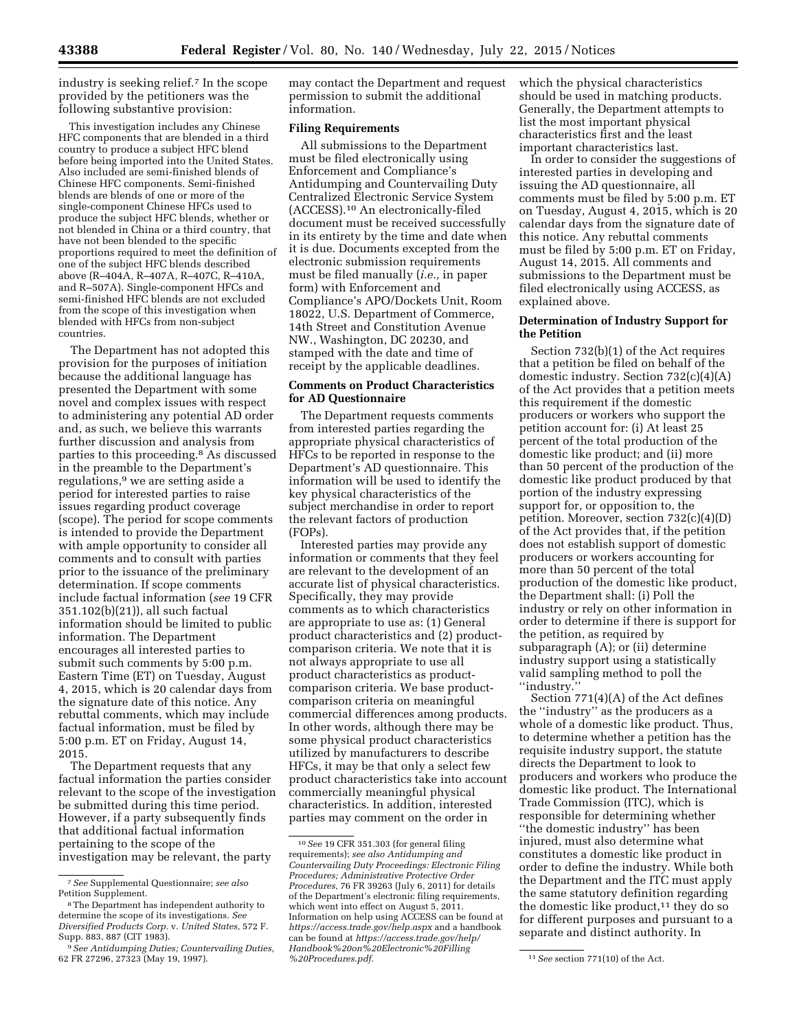industry is seeking relief.7 In the scope provided by the petitioners was the following substantive provision:

This investigation includes any Chinese HFC components that are blended in a third country to produce a subject HFC blend before being imported into the United States. Also included are semi-finished blends of Chinese HFC components. Semi-finished blends are blends of one or more of the single-component Chinese HFCs used to produce the subject HFC blends, whether or not blended in China or a third country, that have not been blended to the specific proportions required to meet the definition of one of the subject HFC blends described above (R–404A, R–407A, R–407C, R–410A, and R–507A). Single-component HFCs and semi-finished HFC blends are not excluded from the scope of this investigation when blended with HFCs from non-subject countries.

The Department has not adopted this provision for the purposes of initiation because the additional language has presented the Department with some novel and complex issues with respect to administering any potential AD order and, as such, we believe this warrants further discussion and analysis from parties to this proceeding.8 As discussed in the preamble to the Department's regulations,9 we are setting aside a period for interested parties to raise issues regarding product coverage (scope). The period for scope comments is intended to provide the Department with ample opportunity to consider all comments and to consult with parties prior to the issuance of the preliminary determination. If scope comments include factual information (*see* 19 CFR 351.102(b)(21)), all such factual information should be limited to public information. The Department encourages all interested parties to submit such comments by 5:00 p.m. Eastern Time (ET) on Tuesday, August 4, 2015, which is 20 calendar days from the signature date of this notice. Any rebuttal comments, which may include factual information, must be filed by 5:00 p.m. ET on Friday, August 14, 2015.

The Department requests that any factual information the parties consider relevant to the scope of the investigation be submitted during this time period. However, if a party subsequently finds that additional factual information pertaining to the scope of the investigation may be relevant, the party

may contact the Department and request permission to submit the additional information.

# **Filing Requirements**

All submissions to the Department must be filed electronically using Enforcement and Compliance's Antidumping and Countervailing Duty Centralized Electronic Service System (ACCESS).10 An electronically-filed document must be received successfully in its entirety by the time and date when it is due. Documents excepted from the electronic submission requirements must be filed manually (*i.e.,* in paper form) with Enforcement and Compliance's APO/Dockets Unit, Room 18022, U.S. Department of Commerce, 14th Street and Constitution Avenue NW., Washington, DC 20230, and stamped with the date and time of receipt by the applicable deadlines.

### **Comments on Product Characteristics for AD Questionnaire**

The Department requests comments from interested parties regarding the appropriate physical characteristics of HFCs to be reported in response to the Department's AD questionnaire. This information will be used to identify the key physical characteristics of the subject merchandise in order to report the relevant factors of production (FOPs).

Interested parties may provide any information or comments that they feel are relevant to the development of an accurate list of physical characteristics. Specifically, they may provide comments as to which characteristics are appropriate to use as: (1) General product characteristics and (2) productcomparison criteria. We note that it is not always appropriate to use all product characteristics as productcomparison criteria. We base productcomparison criteria on meaningful commercial differences among products. In other words, although there may be some physical product characteristics utilized by manufacturers to describe HFCs, it may be that only a select few product characteristics take into account commercially meaningful physical characteristics. In addition, interested parties may comment on the order in

which the physical characteristics should be used in matching products. Generally, the Department attempts to list the most important physical characteristics first and the least important characteristics last.

In order to consider the suggestions of interested parties in developing and issuing the AD questionnaire, all comments must be filed by 5:00 p.m. ET on Tuesday, August 4, 2015, which is 20 calendar days from the signature date of this notice. Any rebuttal comments must be filed by 5:00 p.m. ET on Friday, August 14, 2015. All comments and submissions to the Department must be filed electronically using ACCESS, as explained above.

# **Determination of Industry Support for the Petition**

Section 732(b)(1) of the Act requires that a petition be filed on behalf of the domestic industry. Section 732(c)(4)(A) of the Act provides that a petition meets this requirement if the domestic producers or workers who support the petition account for: (i) At least 25 percent of the total production of the domestic like product; and (ii) more than 50 percent of the production of the domestic like product produced by that portion of the industry expressing support for, or opposition to, the petition. Moreover, section 732(c)(4)(D) of the Act provides that, if the petition does not establish support of domestic producers or workers accounting for more than 50 percent of the total production of the domestic like product, the Department shall: (i) Poll the industry or rely on other information in order to determine if there is support for the petition, as required by subparagraph (A); or (ii) determine industry support using a statistically valid sampling method to poll the ''industry.''

Section 771(4)(A) of the Act defines the ''industry'' as the producers as a whole of a domestic like product. Thus, to determine whether a petition has the requisite industry support, the statute directs the Department to look to producers and workers who produce the domestic like product. The International Trade Commission (ITC), which is responsible for determining whether ''the domestic industry'' has been injured, must also determine what constitutes a domestic like product in order to define the industry. While both the Department and the ITC must apply the same statutory definition regarding the domestic like product,<sup>11</sup> they do so for different purposes and pursuant to a separate and distinct authority. In

<sup>7</sup>*See* Supplemental Questionnaire; *see also*  Petition Supplement.

<sup>8</sup>The Department has independent authority to determine the scope of its investigations. *See Diversified Products Corp.* v. *United States,* 572 F. Supp. 883, 887 (CIT 1983).

<sup>9</sup>*See Antidumping Duties; Countervailing Duties,*  62 FR 27296, 27323 (May 19, 1997).

<sup>10</sup>*See* 19 CFR 351.303 (for general filing requirements); *see also Antidumping and Countervailing Duty Proceedings: Electronic Filing Procedures; Administrative Protective Order Procedures,* 76 FR 39263 (July 6, 2011) for details of the Department's electronic filing requirements, which went into effect on August 5, 2011. Information on help using ACCESS can be found at *<https://access.trade.gov/help.aspx>* and a handbook can be found at *[https://access.trade.gov/help/](https://access.trade.gov/help/Handbook%20on%20Electronic%20Filling%20Procedures.pdf) [Handbook%20on%20Electronic%20Filling](https://access.trade.gov/help/Handbook%20on%20Electronic%20Filling%20Procedures.pdf)*

*[<sup>%20</sup>Procedures.pdf.](https://access.trade.gov/help/Handbook%20on%20Electronic%20Filling%20Procedures.pdf)* 11*See* section 771(10) of the Act.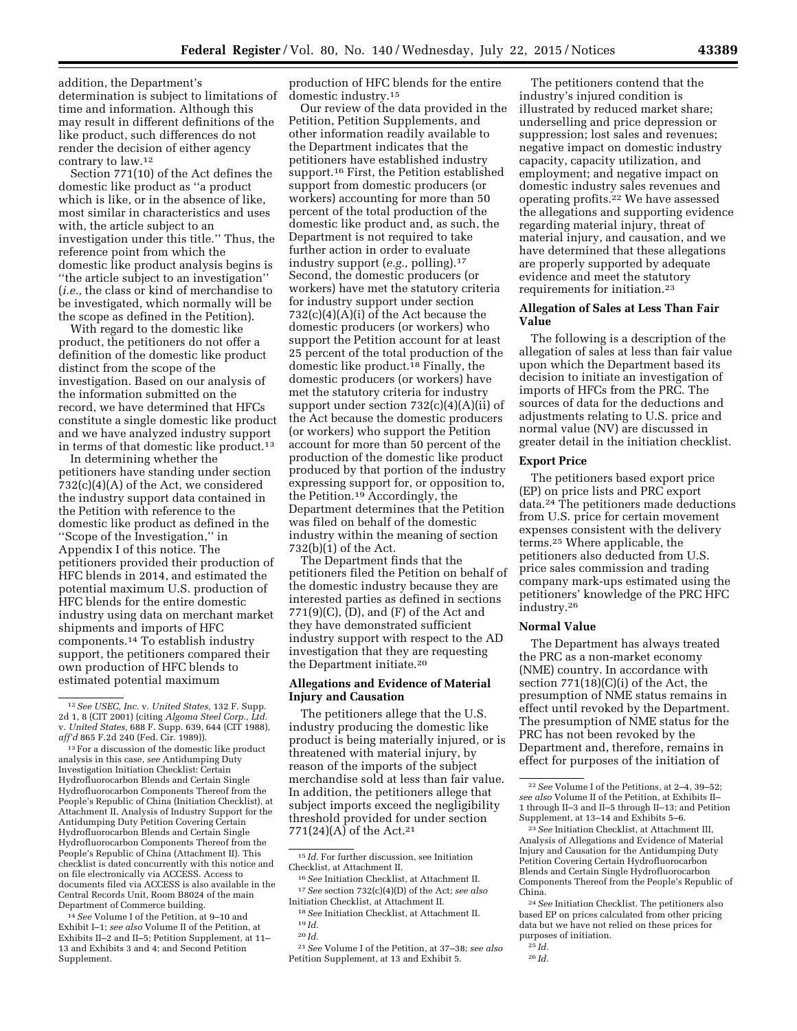addition, the Department's determination is subject to limitations of time and information. Although this may result in different definitions of the like product, such differences do not render the decision of either agency contrary to law.12

Section 771(10) of the Act defines the domestic like product as ''a product which is like, or in the absence of like, most similar in characteristics and uses with, the article subject to an investigation under this title.'' Thus, the reference point from which the domestic like product analysis begins is ''the article subject to an investigation'' (*i.e.,* the class or kind of merchandise to be investigated, which normally will be the scope as defined in the Petition).

With regard to the domestic like product, the petitioners do not offer a definition of the domestic like product distinct from the scope of the investigation. Based on our analysis of the information submitted on the record, we have determined that HFCs constitute a single domestic like product and we have analyzed industry support in terms of that domestic like product.13

In determining whether the petitioners have standing under section 732(c)(4)(A) of the Act, we considered the industry support data contained in the Petition with reference to the domestic like product as defined in the ''Scope of the Investigation,'' in Appendix I of this notice. The petitioners provided their production of HFC blends in 2014, and estimated the potential maximum U.S. production of HFC blends for the entire domestic industry using data on merchant market shipments and imports of HFC components.14 To establish industry support, the petitioners compared their own production of HFC blends to estimated potential maximum

14*See* Volume I of the Petition, at 9–10 and Exhibit I–1; *see also* Volume II of the Petition, at Exhibits II–2 and II–5; Petition Supplement, at 11– 13 and Exhibits 3 and 4; and Second Petition Supplement.

production of HFC blends for the entire domestic industry.15

Our review of the data provided in the Petition, Petition Supplements, and other information readily available to the Department indicates that the petitioners have established industry support.<sup>16</sup> First, the Petition established support from domestic producers (or workers) accounting for more than 50 percent of the total production of the domestic like product and, as such, the Department is not required to take further action in order to evaluate industry support (*e.g.,* polling).17 Second, the domestic producers (or workers) have met the statutory criteria for industry support under section 732(c)(4)(A)(i) of the Act because the domestic producers (or workers) who support the Petition account for at least 25 percent of the total production of the domestic like product.18 Finally, the domestic producers (or workers) have met the statutory criteria for industry support under section  $732(c)(4)(A)(ii)$  of the Act because the domestic producers (or workers) who support the Petition account for more than 50 percent of the production of the domestic like product produced by that portion of the industry expressing support for, or opposition to, the Petition.19 Accordingly, the Department determines that the Petition was filed on behalf of the domestic industry within the meaning of section 732(b)(1) of the Act.

The Department finds that the petitioners filed the Petition on behalf of the domestic industry because they are interested parties as defined in sections 771(9)(C), (D), and (F) of the Act and they have demonstrated sufficient industry support with respect to the AD investigation that they are requesting the Department initiate.20

### **Allegations and Evidence of Material Injury and Causation**

The petitioners allege that the U.S. industry producing the domestic like product is being materially injured, or is threatened with material injury, by reason of the imports of the subject merchandise sold at less than fair value. In addition, the petitioners allege that subject imports exceed the negligibility threshold provided for under section 771(24)(A) of the Act.<sup>21</sup>

The petitioners contend that the industry's injured condition is illustrated by reduced market share; underselling and price depression or suppression; lost sales and revenues; negative impact on domestic industry capacity, capacity utilization, and employment; and negative impact on domestic industry sales revenues and operating profits.22 We have assessed the allegations and supporting evidence regarding material injury, threat of material injury, and causation, and we have determined that these allegations are properly supported by adequate evidence and meet the statutory requirements for initiation.23

## **Allegation of Sales at Less Than Fair Value**

The following is a description of the allegation of sales at less than fair value upon which the Department based its decision to initiate an investigation of imports of HFCs from the PRC. The sources of data for the deductions and adjustments relating to U.S. price and normal value (NV) are discussed in greater detail in the initiation checklist.

### **Export Price**

The petitioners based export price (EP) on price lists and PRC export data.24 The petitioners made deductions from U.S. price for certain movement expenses consistent with the delivery terms.25 Where applicable, the petitioners also deducted from U.S. price sales commission and trading company mark-ups estimated using the petitioners' knowledge of the PRC HFC industry.26

#### **Normal Value**

The Department has always treated the PRC as a non-market economy (NME) country. In accordance with section 771(18)(C)(i) of the Act, the presumption of NME status remains in effect until revoked by the Department. The presumption of NME status for the PRC has not been revoked by the Department and, therefore, remains in effect for purposes of the initiation of

<sup>12</sup>*See USEC, Inc.* v. *United States,* 132 F. Supp. 2d 1, 8 (CIT 2001) (citing *Algoma Steel Corp., Ltd.*  v. *United States,* 688 F. Supp. 639, 644 (CIT 1988), *aff'd* 865 F.2d 240 (Fed. Cir. 1989)).

<sup>&</sup>lt;sup>13</sup> For a discussion of the domestic like product analysis in this case, *see* Antidumping Duty Investigation Initiation Checklist: Certain Hydrofluorocarbon Blends and Certain Single Hydrofluorocarbon Components Thereof from the People's Republic of China (Initiation Checklist), at Attachment II, Analysis of Industry Support for the Antidumping Duty Petition Covering Certain Hydrofluorocarbon Blends and Certain Single Hydrofluorocarbon Components Thereof from the People's Republic of China (Attachment II). This checklist is dated concurrently with this notice and on file electronically via ACCESS. Access to documents filed via ACCESS is also available in the Central Records Unit, Room B8024 of the main Department of Commerce building.

<sup>15</sup> *Id.* For further discussion, see Initiation Checklist, at Attachment II.

<sup>16</sup>*See* Initiation Checklist, at Attachment II. 17*See* section 732(c)(4)(D) of the Act; *see also*  Initiation Checklist, at Attachment II.

<sup>18</sup>*See* Initiation Checklist, at Attachment II. 19 *Id.* 

<sup>20</sup> *Id.* 

<sup>21</sup>*See* Volume I of the Petition, at 37–38; *see also*  Petition Supplement, at 13 and Exhibit 5.

<sup>22</sup>*See* Volume I of the Petitions, at 2–4, 39–52; *see also* Volume II of the Petition, at Exhibits II– 1 through II–3 and II–5 through II–13; and Petition Supplement, at 13–14 and Exhibits 5–6.

<sup>23</sup>*See* Initiation Checklist, at Attachment III, Analysis of Allegations and Evidence of Material Injury and Causation for the Antidumping Duty Petition Covering Certain Hydrofluorocarbon Blends and Certain Single Hydrofluorocarbon Components Thereof from the People's Republic of China.

<sup>24</sup>*See* Initiation Checklist. The petitioners also based EP on prices calculated from other pricing data but we have not relied on these prices for purposes of initiation.

<sup>25</sup> *Id.* 

<sup>26</sup> *Id.*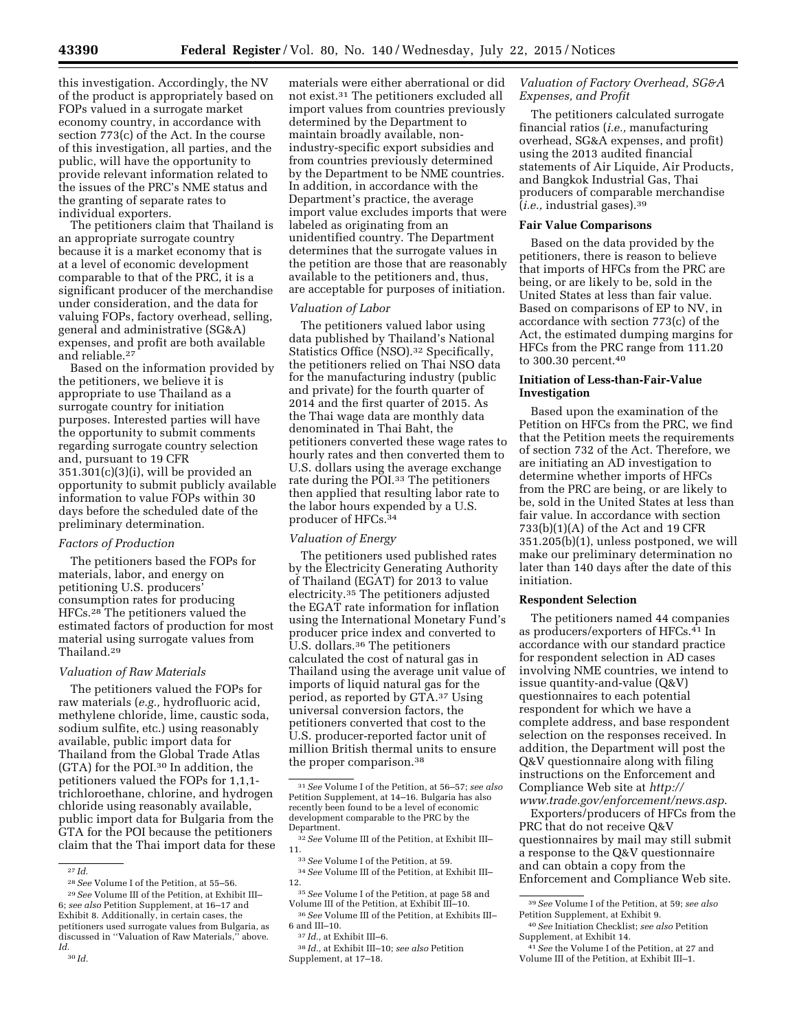this investigation. Accordingly, the NV of the product is appropriately based on FOPs valued in a surrogate market economy country, in accordance with section 773(c) of the Act. In the course of this investigation, all parties, and the public, will have the opportunity to provide relevant information related to the issues of the PRC's NME status and the granting of separate rates to individual exporters.

The petitioners claim that Thailand is an appropriate surrogate country because it is a market economy that is at a level of economic development comparable to that of the PRC, it is a significant producer of the merchandise under consideration, and the data for valuing FOPs, factory overhead, selling, general and administrative (SG&A) expenses, and profit are both available and reliable.27

Based on the information provided by the petitioners, we believe it is appropriate to use Thailand as a surrogate country for initiation purposes. Interested parties will have the opportunity to submit comments regarding surrogate country selection and, pursuant to 19 CFR 351.301(c)(3)(i), will be provided an opportunity to submit publicly available information to value FOPs within 30 days before the scheduled date of the preliminary determination.

#### *Factors of Production*

The petitioners based the FOPs for materials, labor, and energy on petitioning U.S. producers' consumption rates for producing HFCs.28 The petitioners valued the estimated factors of production for most material using surrogate values from Thailand.29

#### *Valuation of Raw Materials*

The petitioners valued the FOPs for raw materials (*e.g.,* hydrofluoric acid, methylene chloride, lime, caustic soda, sodium sulfite, etc.) using reasonably available, public import data for Thailand from the Global Trade Atlas (GTA) for the POI.30 In addition, the petitioners valued the FOPs for 1,1,1 trichloroethane, chlorine, and hydrogen chloride using reasonably available, public import data for Bulgaria from the GTA for the POI because the petitioners claim that the Thai import data for these

materials were either aberrational or did not exist.31 The petitioners excluded all import values from countries previously determined by the Department to maintain broadly available, nonindustry-specific export subsidies and from countries previously determined by the Department to be NME countries. In addition, in accordance with the Department's practice, the average import value excludes imports that were labeled as originating from an unidentified country. The Department determines that the surrogate values in the petition are those that are reasonably available to the petitioners and, thus, are acceptable for purposes of initiation.

### *Valuation of Labor*

The petitioners valued labor using data published by Thailand's National Statistics Office (NSO).32 Specifically, the petitioners relied on Thai NSO data for the manufacturing industry (public and private) for the fourth quarter of 2014 and the first quarter of 2015. As the Thai wage data are monthly data denominated in Thai Baht, the petitioners converted these wage rates to hourly rates and then converted them to U.S. dollars using the average exchange rate during the POI.33 The petitioners then applied that resulting labor rate to the labor hours expended by a U.S. producer of HFCs.34

#### *Valuation of Energy*

The petitioners used published rates by the Electricity Generating Authority of Thailand (EGAT) for 2013 to value electricity.35 The petitioners adjusted the EGAT rate information for inflation using the International Monetary Fund's producer price index and converted to U.S. dollars.36 The petitioners calculated the cost of natural gas in Thailand using the average unit value of imports of liquid natural gas for the period, as reported by GTA.37 Using universal conversion factors, the petitioners converted that cost to the U.S. producer-reported factor unit of million British thermal units to ensure the proper comparison.38

<sup>33</sup> See Volume I of the Petition, at 59.<br><sup>34</sup> See Volume III of the Petition, at Exhibit III–12.

## *Valuation of Factory Overhead, SG&A Expenses, and Profit*

The petitioners calculated surrogate financial ratios (*i.e.,* manufacturing overhead, SG&A expenses, and profit) using the 2013 audited financial statements of Air Liquide, Air Products, and Bangkok Industrial Gas, Thai producers of comparable merchandise (*i.e.,* industrial gases).39

#### **Fair Value Comparisons**

Based on the data provided by the petitioners, there is reason to believe that imports of HFCs from the PRC are being, or are likely to be, sold in the United States at less than fair value. Based on comparisons of EP to NV, in accordance with section 773(c) of the Act, the estimated dumping margins for HFCs from the PRC range from 111.20 to 300.30 percent.40

## **Initiation of Less-than-Fair-Value Investigation**

Based upon the examination of the Petition on HFCs from the PRC, we find that the Petition meets the requirements of section 732 of the Act. Therefore, we are initiating an AD investigation to determine whether imports of HFCs from the PRC are being, or are likely to be, sold in the United States at less than fair value. In accordance with section 733(b)(1)(A) of the Act and 19 CFR 351.205(b)(1), unless postponed, we will make our preliminary determination no later than 140 days after the date of this initiation.

#### **Respondent Selection**

The petitioners named 44 companies as producers/exporters of HFCs.41 In accordance with our standard practice for respondent selection in AD cases involving NME countries, we intend to issue quantity-and-value (Q&V) questionnaires to each potential respondent for which we have a complete address, and base respondent selection on the responses received. In addition, the Department will post the Q&V questionnaire along with filing instructions on the Enforcement and Compliance Web site at *[http://](http://www.trade.gov/enforcement/news.asp) [www.trade.gov/enforcement/news.asp](http://www.trade.gov/enforcement/news.asp)*.

Exporters/producers of HFCs from the PRC that do not receive Q&V questionnaires by mail may still submit a response to the Q&V questionnaire and can obtain a copy from the Enforcement and Compliance Web site.

 $\overline{27}$  *Id.* 

<sup>28</sup>*See* Volume I of the Petition, at 55–56.

<sup>29</sup>*See* Volume III of the Petition, at Exhibit III– 6; *see also* Petition Supplement, at 16–17 and Exhibit 8. Additionally, in certain cases, the petitioners used surrogate values from Bulgaria, as discussed in ''Valuation of Raw Materials,'' above. *Id.* 

<sup>30</sup> *Id.* 

<sup>31</sup>*See* Volume I of the Petition, at 56–57; *see also*  Petition Supplement, at 14–16. Bulgaria has also recently been found to be a level of economic development comparable to the PRC by the<br>Department.

<sup>&</sup>lt;sup>32</sup> See Volume III of the Petition, at Exhibit III–

<sup>&</sup>lt;sup>35</sup> See Volume I of the Petition, at page 58 and Volume III of the Petition, at Exhibit III–10.

<sup>&</sup>lt;sup>36</sup> See Volume III of the Petition, at Exhibits III–6 and III–10.

<sup>6</sup> and III–10. 37 *Id.,* at Exhibit III–6. 38 *Id.,* at Exhibit III–10; *see also* Petition Supplement, at 17–18.

<sup>39</sup>*See* Volume I of the Petition, at 59; *see also*  Petition Supplement, at Exhibit 9.

<sup>40</sup>*See* Initiation Checklist; *see also* Petition Supplement, at Exhibit 14.

<sup>41</sup>*See* the Volume I of the Petition, at 27 and Volume III of the Petition, at Exhibit III–1.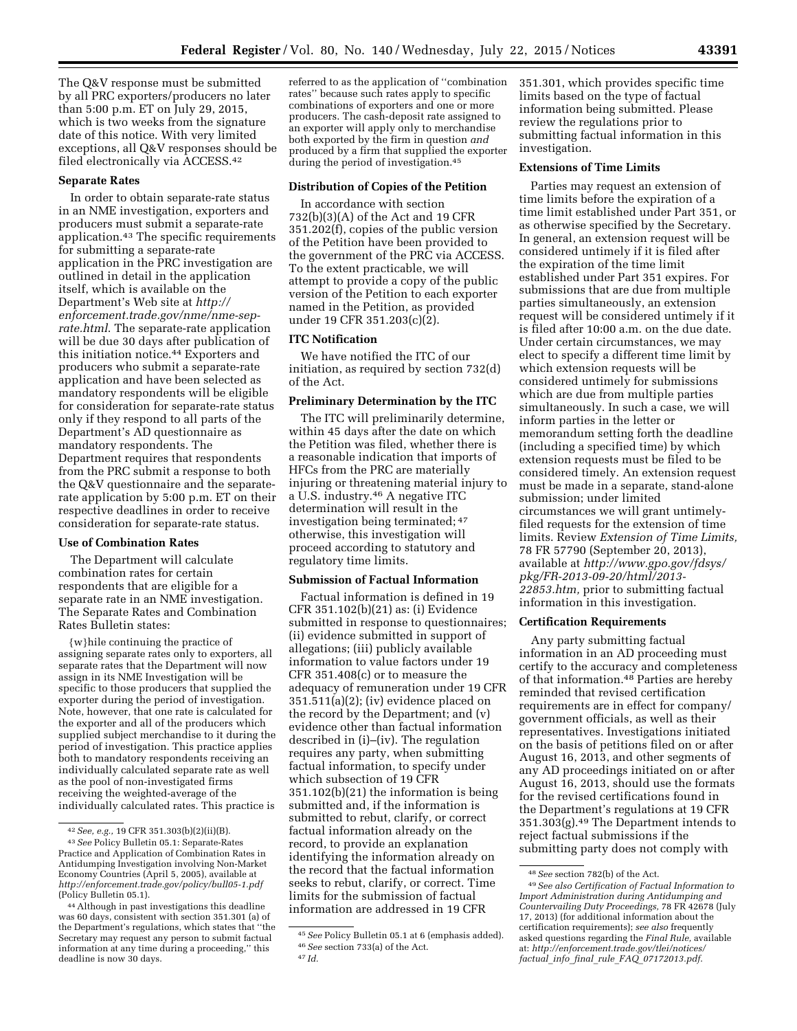The Q&V response must be submitted by all PRC exporters/producers no later than 5:00 p.m. ET on July 29, 2015, which is two weeks from the signature date of this notice. With very limited exceptions, all Q&V responses should be filed electronically via ACCESS.42

### **Separate Rates**

In order to obtain separate-rate status in an NME investigation, exporters and producers must submit a separate-rate application.43 The specific requirements for submitting a separate-rate application in the PRC investigation are outlined in detail in the application itself, which is available on the Department's Web site at *[http://](http://enforcement.trade.gov/nme/nme-sep-rate.html) [enforcement.trade.gov/nme/nme-sep](http://enforcement.trade.gov/nme/nme-sep-rate.html)[rate.html](http://enforcement.trade.gov/nme/nme-sep-rate.html)*. The separate-rate application will be due 30 days after publication of this initiation notice.44 Exporters and producers who submit a separate-rate application and have been selected as mandatory respondents will be eligible for consideration for separate-rate status only if they respond to all parts of the Department's AD questionnaire as mandatory respondents. The Department requires that respondents from the PRC submit a response to both the Q&V questionnaire and the separaterate application by 5:00 p.m. ET on their respective deadlines in order to receive consideration for separate-rate status.

### **Use of Combination Rates**

The Department will calculate combination rates for certain respondents that are eligible for a separate rate in an NME investigation. The Separate Rates and Combination Rates Bulletin states:

{w}hile continuing the practice of assigning separate rates only to exporters, all separate rates that the Department will now assign in its NME Investigation will be specific to those producers that supplied the exporter during the period of investigation. Note, however, that one rate is calculated for the exporter and all of the producers which supplied subject merchandise to it during the period of investigation. This practice applies both to mandatory respondents receiving an individually calculated separate rate as well as the pool of non-investigated firms receiving the weighted-average of the individually calculated rates. This practice is

referred to as the application of ''combination rates'' because such rates apply to specific combinations of exporters and one or more producers. The cash-deposit rate assigned to an exporter will apply only to merchandise both exported by the firm in question *and*  produced by a firm that supplied the exporter during the period of investigation.45

#### **Distribution of Copies of the Petition**

In accordance with section 732(b)(3)(A) of the Act and 19 CFR 351.202(f), copies of the public version of the Petition have been provided to the government of the PRC via ACCESS. To the extent practicable, we will attempt to provide a copy of the public version of the Petition to each exporter named in the Petition, as provided under 19 CFR 351.203(c)(2).

#### **ITC Notification**

We have notified the ITC of our initiation, as required by section 732(d) of the Act.

### **Preliminary Determination by the ITC**

The ITC will preliminarily determine, within 45 days after the date on which the Petition was filed, whether there is a reasonable indication that imports of HFCs from the PRC are materially injuring or threatening material injury to a U.S. industry.46 A negative ITC determination will result in the investigation being terminated; 47 otherwise, this investigation will proceed according to statutory and regulatory time limits.

### **Submission of Factual Information**

Factual information is defined in 19 CFR 351.102(b)(21) as: (i) Evidence submitted in response to questionnaires; (ii) evidence submitted in support of allegations; (iii) publicly available information to value factors under 19 CFR 351.408(c) or to measure the adequacy of remuneration under 19 CFR 351.511(a)(2); (iv) evidence placed on the record by the Department; and (v) evidence other than factual information described in (i)–(iv). The regulation requires any party, when submitting factual information, to specify under which subsection of 19 CFR 351.102(b)(21) the information is being submitted and, if the information is submitted to rebut, clarify, or correct factual information already on the record, to provide an explanation identifying the information already on the record that the factual information seeks to rebut, clarify, or correct. Time limits for the submission of factual information are addressed in 19 CFR

351.301, which provides specific time limits based on the type of factual information being submitted. Please review the regulations prior to submitting factual information in this investigation.

#### **Extensions of Time Limits**

Parties may request an extension of time limits before the expiration of a time limit established under Part 351, or as otherwise specified by the Secretary. In general, an extension request will be considered untimely if it is filed after the expiration of the time limit established under Part 351 expires. For submissions that are due from multiple parties simultaneously, an extension request will be considered untimely if it is filed after 10:00 a.m. on the due date. Under certain circumstances, we may elect to specify a different time limit by which extension requests will be considered untimely for submissions which are due from multiple parties simultaneously. In such a case, we will inform parties in the letter or memorandum setting forth the deadline (including a specified time) by which extension requests must be filed to be considered timely. An extension request must be made in a separate, stand-alone submission; under limited circumstances we will grant untimelyfiled requests for the extension of time limits. Review *Extension of Time Limits,*  78 FR 57790 (September 20, 2013), available at *[http://www.gpo.gov/fdsys/](http://www.gpo.gov/fdsys/pkg/FR-2013-09-20/html/2013-22853.htm) [pkg/FR-2013-09-20/html/2013-](http://www.gpo.gov/fdsys/pkg/FR-2013-09-20/html/2013-22853.htm) [22853.htm,](http://www.gpo.gov/fdsys/pkg/FR-2013-09-20/html/2013-22853.htm)* prior to submitting factual information in this investigation.

### **Certification Requirements**

Any party submitting factual information in an AD proceeding must certify to the accuracy and completeness of that information.48 Parties are hereby reminded that revised certification requirements are in effect for company/ government officials, as well as their representatives. Investigations initiated on the basis of petitions filed on or after August 16, 2013, and other segments of any AD proceedings initiated on or after August 16, 2013, should use the formats for the revised certifications found in the Department's regulations at 19 CFR 351.303(g).49 The Department intends to reject factual submissions if the submitting party does not comply with

<sup>42</sup>*See, e.g.,* 19 CFR 351.303(b)(2)(ii)(B).

<sup>43</sup>*See* Policy Bulletin 05.1: Separate-Rates Practice and Application of Combination Rates in Antidumping Investigation involving Non-Market Economy Countries (April 5, 2005), available at *<http://enforcement.trade.gov/policy/bull05-1.pdf>* (Policy Bulletin 05.1).

<sup>44</sup>Although in past investigations this deadline was 60 days, consistent with section 351.301 (a) of the Department's regulations, which states that ''the Secretary may request any person to submit factual information at any time during a proceeding,'' this deadline is now 30 days.

<sup>45</sup>*See* Policy Bulletin 05.1 at 6 (emphasis added). 46*See* section 733(a) of the Act.

<sup>48</sup>*See* section 782(b) of the Act.

<sup>49</sup>*See also Certification of Factual Information to Import Administration during Antidumping and Countervailing Duty Proceedings,* 78 FR 42678 (July 17, 2013) (for additional information about the certification requirements); *see also* frequently asked questions regarding the *Final Rule,* available at: *[http://enforcement.trade.gov/tlei/notices/](http://enforcement.trade.gov/tlei/notices/factual_info_final_rule_FAQ_07172013.pdf) factual*\_*info*\_*final*\_*rule*\_*FAQ*\_*[07172013.pdf](http://enforcement.trade.gov/tlei/notices/factual_info_final_rule_FAQ_07172013.pdf)*.